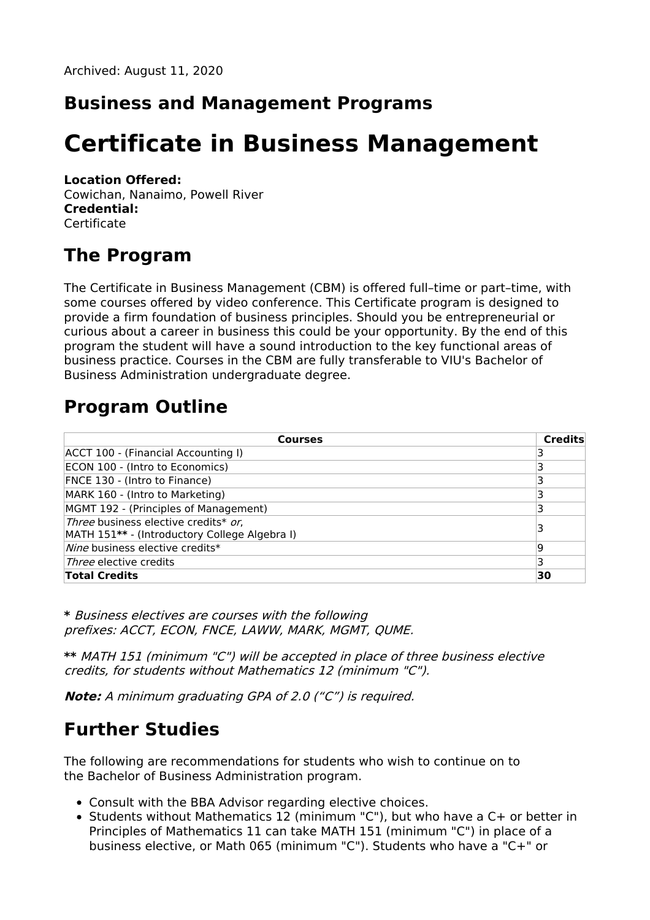#### **Business and Management Programs**

# **Certificate in Business Management**

#### **Location Offered:**

Cowichan, Nanaimo, Powell River **Credential: Certificate** 

#### **The Program**

The Certificate in Business Management (CBM) is offered full–time or part–time, with some courses offered by video conference. This Certificate program is designed to provide a firm foundation of business principles. Should you be entrepreneurial or curious about a career in business this could be your opportunity. By the end of this program the student will have a sound introduction to the key functional areas of business practice. Courses in the CBM are fully transferable to VIU's Bachelor of Business Administration undergraduate degree.

## **Program Outline**

| <b>Courses</b>                                                                        | <b>Credits</b> |
|---------------------------------------------------------------------------------------|----------------|
| ACCT 100 - (Financial Accounting I)                                                   |                |
| ECON 100 - (Intro to Economics)                                                       |                |
| FNCE 130 - (Intro to Finance)                                                         |                |
| MARK 160 - (Intro to Marketing)                                                       |                |
| MGMT 192 - (Principles of Management)                                                 |                |
| Three business elective credits* or,<br>MATH 151** - (Introductory College Algebra I) |                |
| Nine business elective credits*                                                       | ۱q             |
| <i>Three</i> elective credits                                                         |                |
| <b>Total Credits</b>                                                                  | 30             |

**\*** Business electives are courses with the following prefixes: ACCT, ECON, FNCE, LAWW, MARK, MGMT, QUME.

**\*\*** MATH 151 (minimum "C") will be accepted in place of three business elective credits, for students without Mathematics 12 (minimum "C").

**Note:** A minimum graduating GPA of 2.0 ("C") is required.

## **Further Studies**

The following are recommendations for students who wish to continue on to the Bachelor of Business Administration program.

- Consult with the BBA Advisor regarding elective choices.
- Students without Mathematics 12 (minimum "C"), but who have a C+ or better in Principles of Mathematics 11 can take MATH 151 (minimum "C") in place of a business elective, or Math 065 (minimum "C"). Students who have a "C+" or